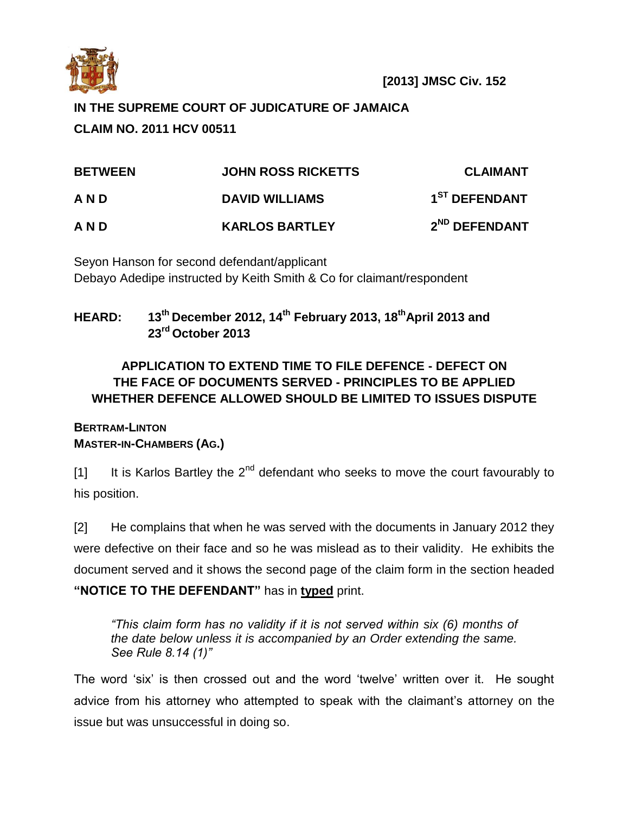

# **IN THE SUPREME COURT OF JUDICATURE OF JAMAICA CLAIM NO. 2011 HCV 00511**

| <b>BETWEEN</b><br>A N D | <b>JOHN ROSS RICKETTS</b><br><b>DAVID WILLIAMS</b> | <b>CLAIMANT</b><br>1 <sup>ST</sup> DEFENDANT |
|-------------------------|----------------------------------------------------|----------------------------------------------|
|                         |                                                    |                                              |

Seyon Hanson for second defendant/applicant Debayo Adedipe instructed by Keith Smith & Co for claimant/respondent

## **HEARD: 13th December 2012, 14th February 2013, 18thApril 2013 and 23rd October 2013**

## **APPLICATION TO EXTEND TIME TO FILE DEFENCE - DEFECT ON THE FACE OF DOCUMENTS SERVED - PRINCIPLES TO BE APPLIED WHETHER DEFENCE ALLOWED SHOULD BE LIMITED TO ISSUES DISPUTE**

### **BERTRAM-LINTON MASTER-IN-CHAMBERS (AG.)**

[1] It is Karlos Bartley the  $2<sup>nd</sup>$  defendant who seeks to move the court favourably to his position.

[2] He complains that when he was served with the documents in January 2012 they were defective on their face and so he was mislead as to their validity. He exhibits the document served and it shows the second page of the claim form in the section headed **"NOTICE TO THE DEFENDANT"** has in **typed** print.

*"This claim form has no validity if it is not served within six (6) months of the date below unless it is accompanied by an Order extending the same. See Rule 8.14 (1)"*

The word 'six' is then crossed out and the word 'twelve' written over it. He sought advice from his attorney who attempted to speak with the claimant's attorney on the issue but was unsuccessful in doing so.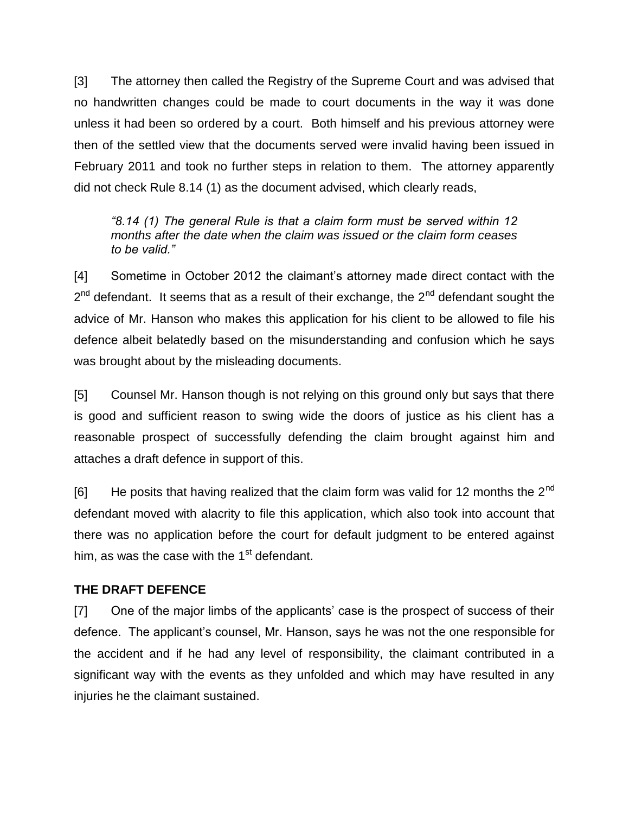[3] The attorney then called the Registry of the Supreme Court and was advised that no handwritten changes could be made to court documents in the way it was done unless it had been so ordered by a court. Both himself and his previous attorney were then of the settled view that the documents served were invalid having been issued in February 2011 and took no further steps in relation to them. The attorney apparently did not check Rule 8.14 (1) as the document advised, which clearly reads,

*"8.14 (1) The general Rule is that a claim form must be served within 12 months after the date when the claim was issued or the claim form ceases to be valid."* 

[4] Sometime in October 2012 the claimant's attorney made direct contact with the  $2^{nd}$  defendant. It seems that as a result of their exchange, the  $2^{nd}$  defendant sought the advice of Mr. Hanson who makes this application for his client to be allowed to file his defence albeit belatedly based on the misunderstanding and confusion which he says was brought about by the misleading documents.

[5] Counsel Mr. Hanson though is not relying on this ground only but says that there is good and sufficient reason to swing wide the doors of justice as his client has a reasonable prospect of successfully defending the claim brought against him and attaches a draft defence in support of this.

[6] He posits that having realized that the claim form was valid for 12 months the  $2^{nd}$ defendant moved with alacrity to file this application, which also took into account that there was no application before the court for default judgment to be entered against him, as was the case with the  $1<sup>st</sup>$  defendant.

### **THE DRAFT DEFENCE**

[7] One of the major limbs of the applicants' case is the prospect of success of their defence. The applicant's counsel, Mr. Hanson, says he was not the one responsible for the accident and if he had any level of responsibility, the claimant contributed in a significant way with the events as they unfolded and which may have resulted in any injuries he the claimant sustained.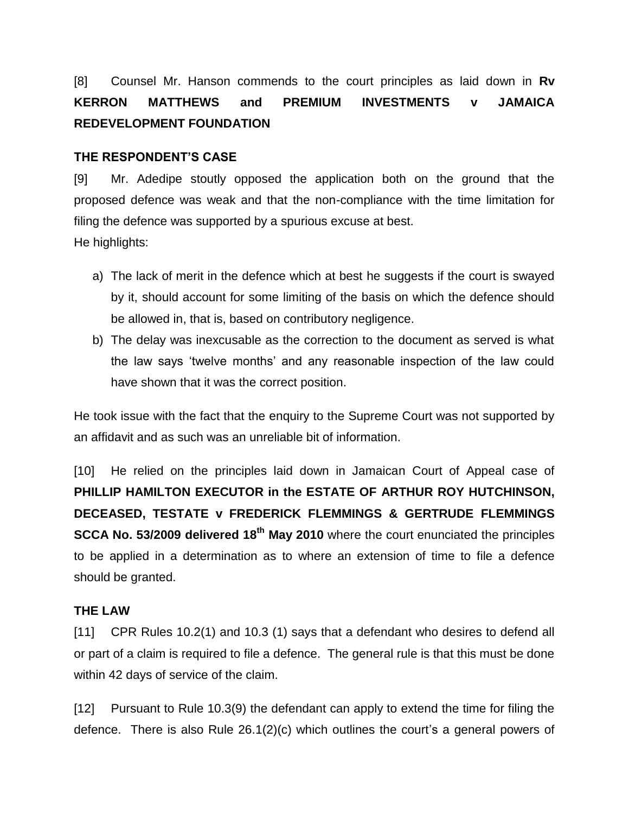# [8] Counsel Mr. Hanson commends to the court principles as laid down in **Rv KERRON MATTHEWS and PREMIUM INVESTMENTS v JAMAICA REDEVELOPMENT FOUNDATION**

#### **THE RESPONDENT'S CASE**

[9] Mr. Adedipe stoutly opposed the application both on the ground that the proposed defence was weak and that the non-compliance with the time limitation for filing the defence was supported by a spurious excuse at best. He highlights:

- a) The lack of merit in the defence which at best he suggests if the court is swayed by it, should account for some limiting of the basis on which the defence should be allowed in, that is, based on contributory negligence.
- b) The delay was inexcusable as the correction to the document as served is what the law says 'twelve months' and any reasonable inspection of the law could have shown that it was the correct position.

He took issue with the fact that the enquiry to the Supreme Court was not supported by an affidavit and as such was an unreliable bit of information.

[10] He relied on the principles laid down in Jamaican Court of Appeal case of **PHILLIP HAMILTON EXECUTOR in the ESTATE OF ARTHUR ROY HUTCHINSON, DECEASED, TESTATE v FREDERICK FLEMMINGS & GERTRUDE FLEMMINGS SCCA No. 53/2009 delivered 18th May 2010** where the court enunciated the principles to be applied in a determination as to where an extension of time to file a defence should be granted.

#### **THE LAW**

[11] CPR Rules 10.2(1) and 10.3 (1) says that a defendant who desires to defend all or part of a claim is required to file a defence. The general rule is that this must be done within 42 days of service of the claim.

[12] Pursuant to Rule 10.3(9) the defendant can apply to extend the time for filing the defence. There is also Rule 26.1(2)(c) which outlines the court's a general powers of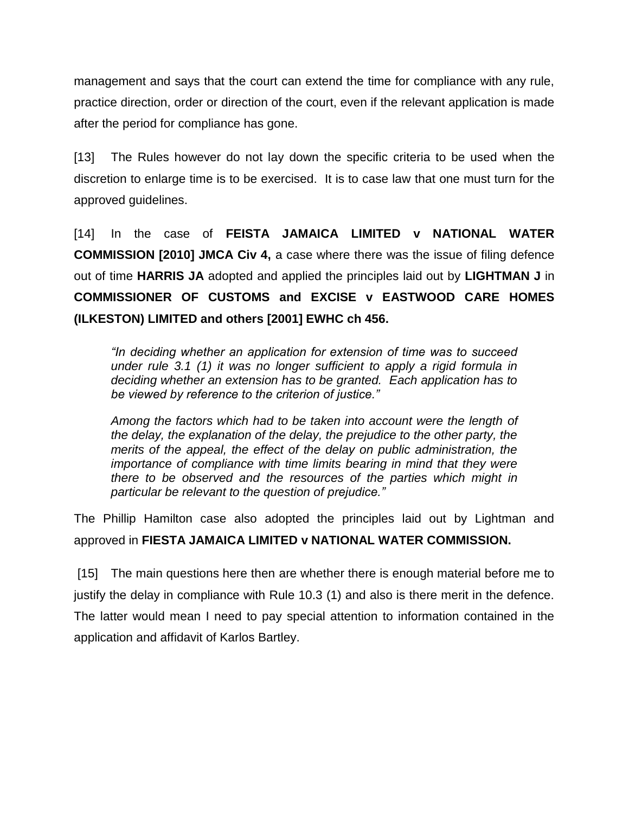management and says that the court can extend the time for compliance with any rule, practice direction, order or direction of the court, even if the relevant application is made after the period for compliance has gone.

[13] The Rules however do not lay down the specific criteria to be used when the discretion to enlarge time is to be exercised. It is to case law that one must turn for the approved guidelines.

[14] In the case of **FEISTA JAMAICA LIMITED v NATIONAL WATER COMMISSION [2010] JMCA Civ 4,** a case where there was the issue of filing defence out of time **HARRIS JA** adopted and applied the principles laid out by **LIGHTMAN J** in **COMMISSIONER OF CUSTOMS and EXCISE v EASTWOOD CARE HOMES (ILKESTON) LIMITED and others [2001] EWHC ch 456.**

*"In deciding whether an application for extension of time was to succeed under rule 3.1 (1) it was no longer sufficient to apply a rigid formula in deciding whether an extension has to be granted. Each application has to be viewed by reference to the criterion of justice."*

*Among the factors which had to be taken into account were the length of the delay, the explanation of the delay, the prejudice to the other party, the merits of the appeal, the effect of the delay on public administration, the importance of compliance with time limits bearing in mind that they were there to be observed and the resources of the parties which might in particular be relevant to the question of prejudice."*

The Phillip Hamilton case also adopted the principles laid out by Lightman and approved in **FIESTA JAMAICA LIMITED v NATIONAL WATER COMMISSION.**

[15] The main questions here then are whether there is enough material before me to justify the delay in compliance with Rule 10.3 (1) and also is there merit in the defence. The latter would mean I need to pay special attention to information contained in the application and affidavit of Karlos Bartley.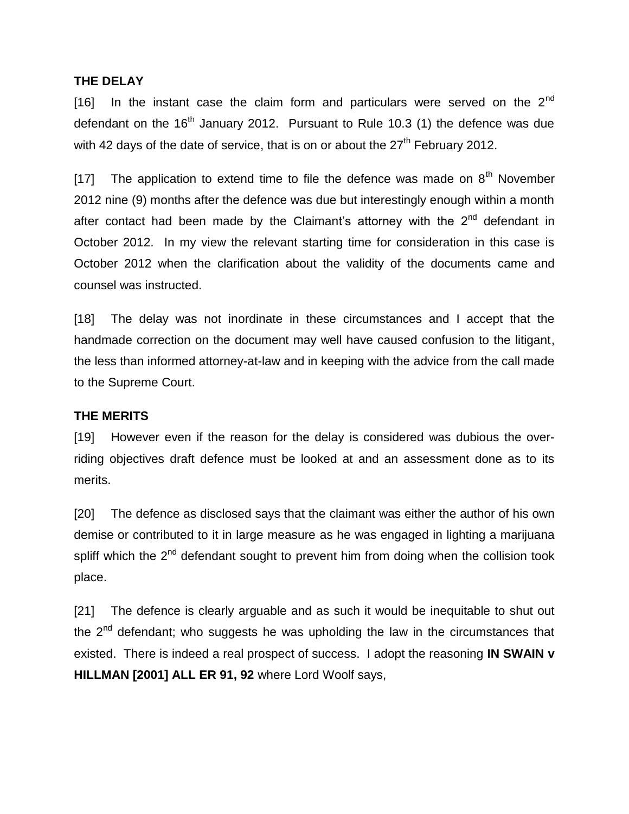#### **THE DELAY**

[16] In the instant case the claim form and particulars were served on the  $2<sup>nd</sup>$ defendant on the  $16<sup>th</sup>$  January 2012. Pursuant to Rule 10.3 (1) the defence was due with 42 days of the date of service, that is on or about the 27<sup>th</sup> February 2012.

[17] The application to extend time to file the defence was made on  $8<sup>th</sup>$  November 2012 nine (9) months after the defence was due but interestingly enough within a month after contact had been made by the Claimant's attorney with the  $2<sup>nd</sup>$  defendant in October 2012. In my view the relevant starting time for consideration in this case is October 2012 when the clarification about the validity of the documents came and counsel was instructed.

[18] The delay was not inordinate in these circumstances and I accept that the handmade correction on the document may well have caused confusion to the litigant, the less than informed attorney-at-law and in keeping with the advice from the call made to the Supreme Court.

#### **THE MERITS**

[19] However even if the reason for the delay is considered was dubious the overriding objectives draft defence must be looked at and an assessment done as to its merits.

[20] The defence as disclosed says that the claimant was either the author of his own demise or contributed to it in large measure as he was engaged in lighting a marijuana spliff which the 2<sup>nd</sup> defendant sought to prevent him from doing when the collision took place.

[21] The defence is clearly arguable and as such it would be inequitable to shut out the 2<sup>nd</sup> defendant; who suggests he was upholding the law in the circumstances that existed. There is indeed a real prospect of success. I adopt the reasoning **IN SWAIN v HILLMAN [2001] ALL ER 91, 92** where Lord Woolf says,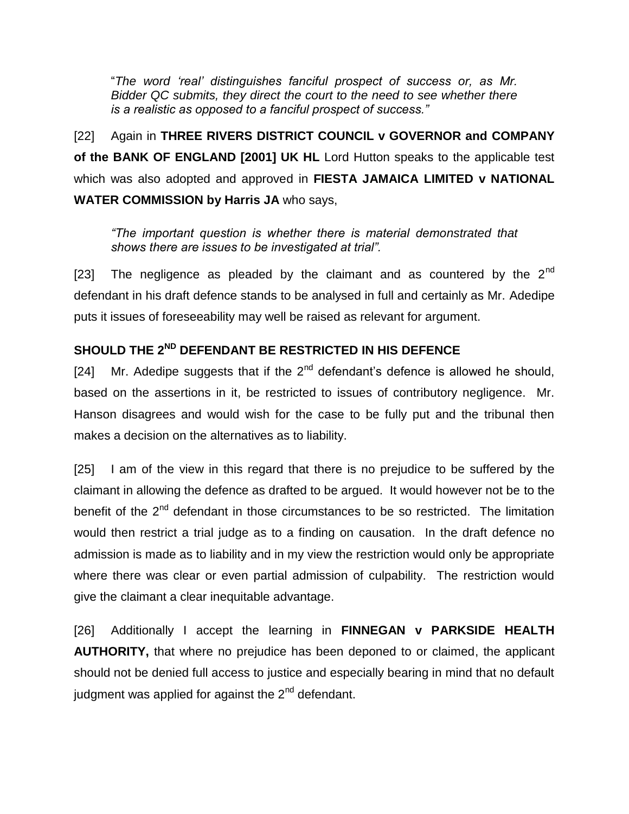"*The word 'real' distinguishes fanciful prospect of success or, as Mr. Bidder QC submits, they direct the court to the need to see whether there is a realistic as opposed to a fanciful prospect of success."*

[22] Again in **THREE RIVERS DISTRICT COUNCIL v GOVERNOR and COMPANY of the BANK OF ENGLAND [2001] UK HL** Lord Hutton speaks to the applicable test which was also adopted and approved in **FIESTA JAMAICA LIMITED v NATIONAL WATER COMMISSION by Harris JA** who says,

*"The important question is whether there is material demonstrated that shows there are issues to be investigated at trial".*

[23] The negligence as pleaded by the claimant and as countered by the  $2^{nd}$ defendant in his draft defence stands to be analysed in full and certainly as Mr. Adedipe puts it issues of foreseeability may well be raised as relevant for argument.

## **SHOULD THE 2ND DEFENDANT BE RESTRICTED IN HIS DEFENCE**

[24] Mr. Adedipe suggests that if the  $2<sup>nd</sup>$  defendant's defence is allowed he should, based on the assertions in it, be restricted to issues of contributory negligence. Mr. Hanson disagrees and would wish for the case to be fully put and the tribunal then makes a decision on the alternatives as to liability.

[25] I am of the view in this regard that there is no prejudice to be suffered by the claimant in allowing the defence as drafted to be argued. It would however not be to the benefit of the 2<sup>nd</sup> defendant in those circumstances to be so restricted. The limitation would then restrict a trial judge as to a finding on causation. In the draft defence no admission is made as to liability and in my view the restriction would only be appropriate where there was clear or even partial admission of culpability. The restriction would give the claimant a clear inequitable advantage.

[26] Additionally I accept the learning in **FINNEGAN v PARKSIDE HEALTH AUTHORITY,** that where no prejudice has been deponed to or claimed, the applicant should not be denied full access to justice and especially bearing in mind that no default judgment was applied for against the  $2<sup>nd</sup>$  defendant.